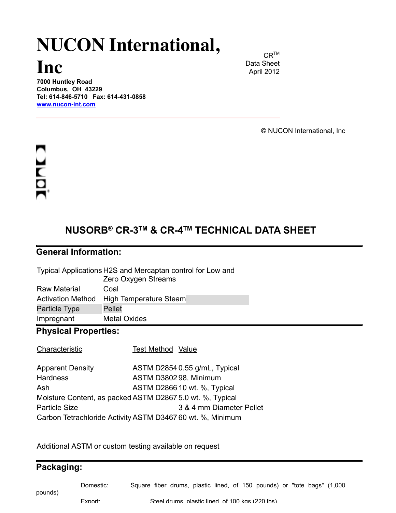# **NUCON International,**

## **Inc**

CJNDI

**7000 Huntley Road Columbus, OH 43229 Tel: 614-846-5710 Fax: 614-431-0858 www.nucon-int.com**

 $CR^{TM}$ Data Sheet April 2012

© NUCON International, Inc

### **NUSORB® CR-3TM & CR-4TM TECHNICAL DATA SHEET**

#### **General Information:**

Typical Applications H2S and Mercaptan control for Low and Zero Oxygen Streams

| <b>Raw Material</b> | Coal                   |
|---------------------|------------------------|
| Activation Method   | High Temperature Steam |
| Particle Type       | Pellet                 |
| Impregnant          | <b>Metal Oxides</b>    |

#### **Physical Properties:**

Characteristic Test Method Value

| <b>Apparent Density</b> | ASTM D2854 0.55 g/mL, Typical                              |
|-------------------------|------------------------------------------------------------|
| <b>Hardness</b>         | ASTM D380298, Minimum                                      |
| Ash                     | ASTM D2866 10 wt. %, Typical                               |
|                         | Moisture Content, as packed ASTM D2867 5.0 wt. %, Typical  |
| <b>Particle Size</b>    | 3 & 4 mm Diameter Pellet                                   |
|                         | Carbon Tetrachloride Activity ASTM D3467 60 wt. %, Minimum |

Additional ASTM or custom testing available on request

### **Packaging:** Domestic: Square fiber drums, plastic lined, of 150 pounds) or "tote bags" (1,000 pounds) Export: Steel drums, plastic lined, of 100 kgs (220 lbs)